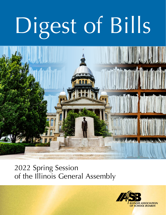# Digest of Bills



# 2022 Spring Session of the Illinois General Assembly

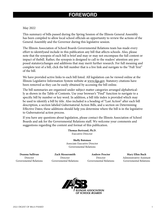# **FOREWORD**

### May 2022

This summary of bills passed during the Spring Session of the Illinois General Assembly has been compiled to allow local school officials an opportunity to review the actions of the General Assembly and the Governor during this legislative session.

The Illinois Association of School Boards Governmental Relations team has made every effort to identifyand include in this publication any bill that affects schools. Also, please note that the synopsis of each bill is brief and may or may not encompass the full content or impact of thebill. Rather, the synopsis is designed to call to the readers' attention any proposed statutorychanges and additions that may merit further research. For full meaning and complete text of a bill, click the bill number that is a live link and navigate to the "Full Text" of the bill.

We have provided active links to each bill listed. All legislation can be viewed online at the Illinois Legislative Information System website at [www.ilga.gov](https://www.ilga.gov/). Statutory citations have been removed as they can be easily obtained by accessing the bill online.

The bill summaries are organized under subject matter categories arranged alphabetically as shown in the Table of Contents. Use your browser's "Find" function to navigate to a specific bill by number or key word. In addition, a bill title index is provided which may be used to identify a bill by title. Also included is a heading of "Last Action" after each bill description, a section labeled Gubernatorial Action Bills, and a section on Determining Effective Dates; these additions should help you determine where the bill is in the legislative to Gubernatorial action process.

If you have any questions about legislation, please contact the Illinois Association of School Boards and ask for the Governmental Relations staff. We welcome your comments and suggestions regarding the content and format of this publication.

> **Thomas Bertrand, Ph.D.** Executive Director

**Shelly Bateman** Associate Executive Director Governmental Relations

**Deanna Sullivan**  Director Governmental Relations

**Zach Messersmith** Director Governmental Relations

**Andrew Proctor** Director Governmental Relations

**Mary Ellen Buch** Administrative Assistant Governmental Relations

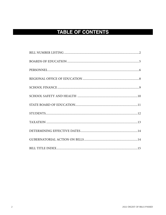# **TABLE OF CONTENTS**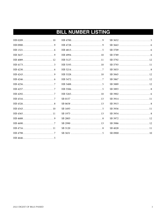# **BILL NUMBER LISTING**

| HB 436511 |
|-----------|
|           |
|           |
| HB 471611 |
|           |
|           |

| HB 499410 |
|-----------|
| HB 512711 |
| HB 519310 |
|           |
| HB 532810 |
|           |
|           |
|           |
| HB 526510 |
|           |
|           |
|           |
|           |
|           |
|           |
|           |
|           |
|           |

| SB 3793 11  |  |  |  |  |  |  |  |  |  |  |  |  |  |
|-------------|--|--|--|--|--|--|--|--|--|--|--|--|--|
|             |  |  |  |  |  |  |  |  |  |  |  |  |  |
|             |  |  |  |  |  |  |  |  |  |  |  |  |  |
|             |  |  |  |  |  |  |  |  |  |  |  |  |  |
|             |  |  |  |  |  |  |  |  |  |  |  |  |  |
|             |  |  |  |  |  |  |  |  |  |  |  |  |  |
|             |  |  |  |  |  |  |  |  |  |  |  |  |  |
| SB 3914  11 |  |  |  |  |  |  |  |  |  |  |  |  |  |
|             |  |  |  |  |  |  |  |  |  |  |  |  |  |
| SB 3936 11  |  |  |  |  |  |  |  |  |  |  |  |  |  |
|             |  |  |  |  |  |  |  |  |  |  |  |  |  |
|             |  |  |  |  |  |  |  |  |  |  |  |  |  |
|             |  |  |  |  |  |  |  |  |  |  |  |  |  |
| SB 4028 11  |  |  |  |  |  |  |  |  |  |  |  |  |  |
|             |  |  |  |  |  |  |  |  |  |  |  |  |  |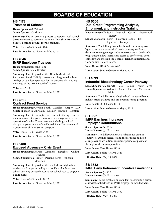# **BOARDS OF EDUCATION**

### **[HB 4173](https://ilga.gov/legislation/billstatus.asp?DocNum=4173&GAID=16&GA=102&DocTypeID=HB&LegID=136976&SessionID=110) Trustees of Schools**

**House Sponsor(s):** Zalewski **Senate Sponsor(s):** Munoz

**Summary:** The bill creates a process to appoint local school board members to serve on the Lyons Township Trustees of Schools board to provide more local input.

**Vote:** House 68-43; Senate 47-0

**Last Action:** Sent to Governor May 6, 2022

### **[HB 4646](https://ilga.gov/legislation/billstatus.asp?DocNum=4646&GAID=16&GA=102&DocTypeID=HB&LegID=138682&SessionID=110) IMRF Employee Trustees**

**House Sponsor(s):** Yang Rohr **Senate Sponsor(s):** Villivalam

**Summary:** The bill provides that Illinois Municipal Retirement Fund (IMRF) trustees must be granted at least 20 days of paid leave per year for the purpose of attending meetings of the IMRF Board of Trustees.

**Vote:** 69-42; 48-8

**Last Action:** Sent to Governor May 6, 2022

### **[HB 4813](https://ilga.gov/legislation/billstatus.asp?DocNum=4813&GAID=16&GA=102&DocTypeID=HB&LegID=139272&SessionID=110) Contract Food Service**

**House Sponsor(s):** Gordon-Booth – Moeller – Harper – Lilly **Senate Sponsor(s):** Villivalam – Koehler – Johnson – Lightford

**Summary:** The bill exempts from contract bidding requirements contracts for goods, services, or management in the operation of a school's food service, including a school that participates in any of the United States Department of Agriculture's child nutrition programs.

**Vote:** House 115-0; Senate 54-0

**Last Action:** Sent to Governor May 6, 2022

### **[HB 5488](https://ilga.gov/legislation/billstatus.asp?DocNum=5488&GAID=16&GA=102&DocTypeID=HB&LegID=140013&SessionID=110) Excused Absence – Civic Event**

**House Sponsor(s):** Harper – Ammons – Slaughter – Collins – Nichols

**Senate Sponsor(s):** Hunter – Pacione-Zayas – Johnson – Morrison

**Summary:** The bill provides that a middle or high school student shall be permitted by a school board at least one school day-long excused absence per school year to engage in a civic event.

**Vote:** House 68-43; Senate 42-12

**Last Action:** Sent to Governor May 6, 2022

### **[HB 5506](https://ilga.gov/legislation/billstatus.asp?DocNum=5506&GAID=16&GA=102&DocTypeID=HB&LegID=140031&SessionID=110)**

### **Dual Credit Programming Analysis, Enrollment, and Instructor Training**

**House Sponsor(s):** Stuart – Batinick – Carroll – Greenwood – Hurley

**Senate Sponsor(s):** Rezin – Loughran Cappel – Belt – Lightford – Gillespie

**Summary:** The bill requires schools and community colleges: to annually assess dual credit courses; to allow students not seeking college credit to participate in dual credit programs; to allow instructors access to professional development plans through the Board of Higher Education and Community College Board.

**Vote:** House 110-0; Senate 46-0

**Last Action:** Sent to Governor May 6, 2022

### **[SB 1693](https://ilga.gov/legislation/billstatus.asp?DocNum=1693&GAID=16&GA=102&DocTypeID=SB&LegID=134329&SessionID=110) Industrial Biotechnology Career Pathway**

**Senate Sponsor(s):** Bennett – Rose – Holmes – Fowler – Joyce **House Sponsor(s):** Yednock – Meier – Harper – Mazzochi – Halpin

**Summary:** The bill creates a high school industrial biotechnology career pathway and pre-apprenticeship program.

**Vote:** Senate 56-0; House 114-0

**Last Action:** Sent to Governor May 6, 2022

### **[SB 3651](https://ilga.gov/legislation/billstatus.asp?DocNum=3651&GAID=16&GA=102&DocTypeID=SB&LegID=138647&SessionID=110) IMRF Earnings Increases, Employer Contributions**

**Senate Sponsor(s):** Villa **House Sponsor(s):** Hirschauer

**Summary:** The bill provides a calculation for certain employee earnings increases and the resulting additional employer contribution, excluding periods of payment through workers' compensation.

**Vote:** Senate 52-0; House 113-0

**Last Action:** Public Act 102-0849

**Effective Date**: May 13, 2022

### **[SB 3652](https://ilga.gov/legislation/billstatus.asp?DocNum=3652&GAID=16&GA=102&DocTypeID=SB&LegID=138648&SessionID=110) IMRF Early Retirement Incentive Limitations**

**Senate Sponsor(s):** Villa **House Sponsor(s):** Hirschauer

**Summary:** The bill disallows an annuitant to enter into a personal services contract with an IMRF employer or forfeit benefits.

**Vote:** Senate 52-0; House 113-0

**Last Action:** Public Act 102-0852

**Effective Date:** May 13, 2022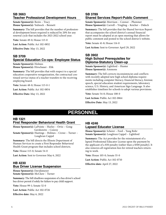### **[SB 3663](https://ilga.gov/legislation/billstatus.asp?DocNum=3663&GAID=16&GA=102&DocTypeID=SB&LegID=138659&SessionID=110) Teacher Professional Development Hours**

**Senate Sponsor(s):** Rezin – Tracy **House Sponsor(s):** Yednock – Bennett

**Summary:** The bill provides that the number of professional development hours required is reduced by 20% for any renewal cycle that includes the 2021-2022 school year.

**Vote:** Senate 49-0; House 113-0

**Last Action:** Public Act 102-0852

**Effective Date**: May 13, 2022

### **[SB 3709](https://ilga.gov/legislation/billstatus.asp?DocNum=3709&GAID=16&GA=102&DocTypeID=SB&LegID=138722&SessionID=110) Special Education Co-ops: Employee Status**

**Senate Sponsor(s):** Holmes **House Sponsor(s):** Hirschauer - Elik

**Summary:** The bill provides that with respect to a special education cooperative reorganization, the contractual continued service status of a teacher transfers to the receiving employing board.

**Vote:** Senate 48-0; House 113-0-1

**Last Action:** Public Act 102-0854

**Effective Date:** May 13, 2022

### **[SB 3789](https://ilga.gov/legislation/billstatus.asp?DocNum=3709&GAID=16&GA=102&DocTypeID=SB&LegID=138722&SessionID=110) Shared Services Report-Public Comment**

**Senate Sponsor(s):** Morrison – Connor – Plummer **House Sponsor(s):** Carroll – Yingling – Keicher – Didech

**Summary:** The bill provides that the Shared Services Report that accompanies the school district's annual financial report must be adopted at an open meeting that allows for public comment and posted to the school district's website.

**Vote:** Senate 41-8; House 114-0

**Last Action:** Sent to Governor April 29, 2022

### **[SB 3902](https://ilga.gov/legislation/billstatus.asp?DocNum=3902&GAID=16&GA=102&DocTypeID=SB&LegID=138988&SessionID=110) High School Prerequisites for Diploma-Statutory Clean-up**

**Senate Sponsor(s):** Lightford – Hunter **House Sponsor(s):** Ammons

**Summary:** The bill corrects inconsistencies and conflicts with recently adopted new high school diploma requirements including computer literacy, financial literacy, forensic speech, special education student requirements, laboratory science, U.S. History, and American Sign Language. It also establishes timelines for schools to adopt various provisions.

**Vote:** Senate 54-0; House 108-0

**Last Action:** Public Act 102-0864

**Effective Date:** May 13, 2022

# **PERSONNEL**

### **[HB 1321](https://ilga.gov/legislation/billstatus.asp?DocNum=1321&GAID=16&GA=102&DocTypeID=HB&LegID=129996&SessionID=110) First Responder Behavioral Health Grant**

**House Sponsor(s):** LaPointe – Hurley – Ortiz – Gong-Gershowitz – Conroy **Senate Sponsor(s):** Hastings – Holmes – Crowe – Turner – Loughran Cappel

**Summary:** The bill directs the Illinois Department of Human Services to create a First Responder Behavioral Health Grant program that includes school districts.

**Vote:** House 113-0; Senate 54-0

**Last Action:** Sent to Governor May 6, 2022

### **[HB 4230](https://ilga.gov/legislation/billstatus.asp?DocNum=4230&GAID=16&GA=102&DocTypeID=HB&LegID=137229&SessionID=110) Bus Driver License Suspension**

**House Sponsor(s):** Davidsmeyer **Senate Sponsor(s):** McClure – Turner

**Summary:** The bill disallows suspension of a bus driver's school bus driver permit if solely for failure to pay child support.

**Vote:** House 99-1; Senate 52-0

**Last Action:** Public Act 102-0726

**Effective date:** May 6, 2022

### **[HB 4246](https://ilga.gov/legislation/billstatus.asp?DocNum=4230&GAID=16&GA=102&DocTypeID=HB&LegID=137229&SessionID=110) Lapsed Educator License**

**House Sponsor(s):** Scherer – Ford – Yang Rohr **Senate Sponsor(s):** Loughran Cappel – Lightford

**Summary:** The Act provides for the reinstatement of a lapsed Professional Educator License upon the payment by the applicant of a \$50 penalty (rather than a \$500 penalty). It also removes all registration fees for retired teachers returning to work.

**Vote:** House 105-0; Senate 55-0

**Last Action:** Public Act 102-0710

**Effective date:** April 27, 2022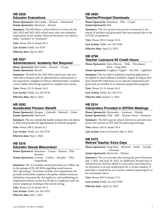### **[HB 4256](https://ilga.gov/legislation/billstatus.asp?DocNum=4256&GAID=16&GA=102&DocTypeID=HB&LegID=137283&SessionID=110) Educator Evaluations**

**House Sponsor(s):** McCombie – Bennett – Hammond **Senate Sponsor(s):** Morrison – Stewart

**Summary:** The bill allows a school district to waive, for the 2021-2022 and 2022-2023 school years only, the evaluation requirement of any teacher whose performance was rated as either "excellent" or "proficient".

**Vote:** House 109-0; Senate 50-4

**Last Action:** Public Act 0729

**Effective date:** May 6, 2022

### **[HB 4257](https://ilga.gov/legislation/billstatus.asp?DocNum=4257&GAID=16&GA=102&DocTypeID=HB&LegID=137284&SessionID=110) Administrators' Academy Not Required**

**House Sponsor(s):** McCombie – Bennett – Crespo **Senate Sponsor(s):** Bryant

**Summary:** The bill for the 2021-2022 school year only, provides that a licensee with an administrative endorsement is not required to complete an Illinois Administrators' Academy course (rather than being required to complete one course).

**Vote:** House 113-0; Senate 54-0

**Last Action:** Public Act 102-0730

**Effective date:** May 6, 2022

### **[HB 4292](https://ilga.gov/legislation/billstatus.asp?DocNum=4292&GAID=16&GA=102&DocTypeID=HB&LegID=137408&SessionID=110) Accelerated Pension Benefit**

**House Sponsor(s):** Morgan – Zalewski – Batinick – Croke **Senate Sponsor(s):** Martwick

**Summary:** The Act extends the teacher pension buy-out option to 2026 and provides the appropriation to fund the program.

**Vote:** House 108-2; Senate 52-1

**Last Action:** Public Act 102-0718

**Effective date:** May 5, 2022

### **[HB 4316](https://ilga.gov/legislation/billstatus.asp?DocNum=4316&GAID=16&GA=102&DocTypeID=HB&LegID=137458&SessionID=110) Educator Sexual Misconduct**

**House Sponsor(s):** Mussman – Crespo – Bourne – Elik – Ramirez **Senate Sponsor(s):** Connor – Collins – Murphy – Villa – Feigenholtz

**Summary:** The Act includes several provisions as a follow-up to the passage of PA 102-0676 regarding sexual misconduct "grooming." Provisions include new requirements, for parental notification, employee discipline, student resources, definitions of persons the Act applies to, and establishing an employment history review for all district employees and contractor employees working in the school setting.

**Vote:** House 112-0; Senate 56-0

**Last Action:** Public Act 102-0702 **Effective date:** July 1, 2023

### **[HB 4690](https://ilga.gov/legislation/billstatus.asp?DocNum=4690&GAID=16&GA=102&DocTypeID=HB&LegID=138928&SessionID=110) Teacher/Principal Dismissals**

**House Sponsor(s):** Mussman – Elik – Crespo **Senate Sponsor(s):** Belt

**Summary:** The Act restarts the process of removal or dismissal of teachers and principals that were paused due to the COVID-19 pandemic.

**Vote:** House 105-0; Senate 56-0

**Last Action:** Public Act 102-0708

**Effective date:** April 22, 2022

### **[HB 4798](https://ilga.gov/legislation/billstatus.asp?DocNum=4798&GAID=16&GA=102&DocTypeID=HB&LegID=139254&SessionID=110) Teacher Licensure-90 Credit Hours**

**House Sponsor(s):** Stava-Murray – Vella – Hirschauer – West – Yang Rohr

**Senate Sponsor(s):** Loughran Cappel – Van Pelt – Lightford

**Summary:** The Act allows substitute teaching applicants to be eligible to teach without a bachelor's degree so long as they have earned 90 credit hours in an educator preparation program and are enrolled in an educator preparation program.

**Vote:** House 111-0; Senate 56-0

**Last Action:** Public Act 102-0711

**Effective date:** January 1, 2023

### **[HB 5214](https://ilga.gov/legislation/billstatus.asp?DocNum=5214&GAID=16&GA=102&DocTypeID=HB&LegID=139716&SessionID=110)**

### **Interpreters Provided in IEP/504 Meetings**

**House Sponsor(s):** Hernandez – Ammons – Manley **Senate Sponsor(s):** Villa – Belt – Pacione-Zayas – Simmons

**Summary:** The bill requires school districts to provide interpreters for parents in IEP and 504 planning meetings.

**Vote:** House 104-0; Senate 58-0

**Last Action:** Sent to Governor May 6, 2022

### **[HB 5472](https://ilga.gov/legislation/billstatus.asp?DocNum=5472&GAID=16&GA=102&DocTypeID=HB&LegID=139996&SessionID=110) Retired Teacher Extra Days**

**House Sponsor(s):** Yang Rohr – Batinick – Smith – Cassidy – Ammons

**Senate Sponsor(s):** Martwick – Ellman

**Summary:** The Act provides that during the period between July 1, 2021, and June 30, 2022, an additional 20 paid days or 100 paid hours shall be added to a provision that authorizes an annuitant to accept employment for a certain number of paid days or paid hours as a teacher without impairing his or her retirement status.

**Vote:** House 108-0; Senate 57-0

**Last Action:** Public Act 102-0709

**Effective date:** April 22, 2022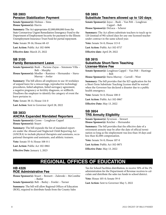### **[SB 2803](https://ilga.gov/legislation/billstatus.asp?DocNum=2803&GAID=16&GA=102&DocTypeID=SB&LegID=135531&SessionID=110) Pension Stabilization Payment**

**Senate Sponsor(s):** Holmes – Sims **House Sponsor(s):** Harris

**Summary:** The Act appropriates \$2,000,000,000 from the State Coronavirus Urgent Remediation Emergency Fund to the Department of Employment Security for payment to the Illinois Unemployment Insurance Trust Fund for partial repayment.

**Vote:** Senate 39-16; House 68-43

**Last Action:** Public Act 102-0696

**Effective date:** March 25, 2022

### **[SB 3120](https://ilga.gov/legislation/billstatus.asp?DocNum=3120&GAID=16&GA=102&DocTypeID=SB&LegID=137815&SessionID=110) Family Bereavement Leave**

**Senate Sponsor(s):** Bush – Pacione-Zayas – Simmons Villa – Belt – Murphy

**House Sponsor(s):** Moeller – Ramirez – Hernandez – Stava-Murray – Avelar

**Summary:** The bill allows all employees to use 10 workdays of unpaid leave for a miscarriage, reproductive technology procedures, failed adoption, failed surrogacy agreement, a negative pregnancy or fertility diagnosis, or stillbirth. Disallows the employer to identify the category of event the leave pertains to.

**Vote:** Senate 38-11; House 114-0

**Last Action:** Sent to Governor April 28, 2022

### **[SB 3833](https://ilga.gov/legislation/billstatus.asp?DocNum=3833&GAID=16&GA=102&DocTypeID=SB&LegID=138896&SessionID=110) ANCRA Expanded Mandated Reporters**

**Senate Sponsor(s):** Crowe – Loughran Cappel **House Sponsor(s):** Stuart

**Summary:** The bill expands the list of mandated reporters under the Abused and Neglected Child Reporting Act (ANCRA) to include physical therapists and assistants, occupational therapists and assistants, and athletic trainers.

**Vote:** Senate 55-0; House 108-0-1

**Last Action:** Public Act 102-0861

**Effective Date:** January 1, 2023

### **[SB 3893](https://ilga.gov/legislation/billstatus.asp?DocNum=3893&GAID=16&GA=102&DocTypeID=SB&LegID=138978&SessionID=110) Substitute Teachers allowed up to 120 days**

**Senate Sponsor(s):** Joyce – Bush – Van Pelt – Loughran Cappel – Belt

**House Sponsor(s):** DeLuca – Scherer

**Summary:** The Act allows substitute teachers to teach up to 120 (instead of 90) school days for any one licensed teacher under contract in the same school year.

**Vote:** Senate 54-0; House 113-0

**Last Action:** Public Act 102-0717

**Effective date:** April 29, 2022

### **[SB 3915](https://ilga.gov/legislation/billstatus.asp?DocNum=3915&GAID=16&GA=102&DocTypeID=SB&LegID=139008&SessionID=110) Substitute Short-Term Teaching License-Waive Fee**

**Senate Sponsor(s):** Loughran Cappel – Van Pelt – Hastings – Belt

**House Sponsor(s):** Stava-Murray – Carroll – West

**Summary:** The bill provides that the \$25 application fee for a Short-Term Substitute Teaching License shall be waived when the Governor has declared a disaster due to a public health emergency.

**Vote:** Senate 54-0; House 108-0

**Last Action:** Public Act 102-0867

**Effective Date:** May 13, 2022

### **[SB 3954](https://ilga.gov/legislation/billstatus.asp?DocNum=3915&GAID=16&GA=102&DocTypeID=SB&LegID=139008&SessionID=110) TRS Annuity Eligibility**

**Senate Sponsor(s):** Syverson – Stewart **House Sponsor(s):** Keicher – Hernandez

**Summary:** The bill provides that the effective date of a retirement annuity may be after the date of official termination so long as the employment was less than 10 days and less than \$2,000 compensation.

**Vote:** Senate 54-0; House 107-0

**Last Action:** Public Act 102-0871

**Effective Date:** May 13, 2022

# **REGIONAL OFFICES OF EDUCATION**

### **[HB 4326](https://ilga.gov/legislation/billstatus.asp?DocNum=4326&GAID=16&GA=102&DocTypeID=HB&LegID=137474&SessionID=110) ROE Administrative Fee**

**House Sponsor(s):** Stuart – Bennett – Zalewski – McCombie – Butler

**Senate Sponsor(s):** Belt – Bailey – Fowler – Turner

**Summary:** The bill will allow Regional Offices of Education (ROE), required to distribute funds from the County Sales

Tax for School Facilities distribution, to receive 50% of the 2% administration fee the Department of Revenue receives to calculate and distribute the sales tax funds to school district.

**Vote:** House 105-0; Senate 59-0

**Last Action:** Sent to Governor May 5, 2022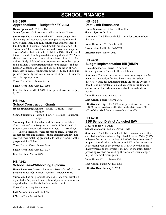# **SCHOOL FINANCE**

### **[HB 0900](https://ilga.gov/legislation/billstatus.asp?DocNum=900&GAID=16&GA=102&DocTypeID=HB&LegID=129558&SessionID=110) Appropriations – Budget for FY 2023**

**House Sponsor(s):** Welch – Harris **Senate Sponsor(s):** Sims – Van Pelt – Collins – Ellman

**Summary:** The Act contains the FY '23 state budget. For elementary and secondary education providing an overall \$10.3 billion, including fully funding the Evidence-Based Funding (EBF) Formula, including \$87 million for an EBF "adjustment" for a miscalculation and correction in a previous year's distribution to school districts. Other line items of interest contain funding mandated categoricals at FY'22 levels but increasing special education private tuition by \$17.9 million. Early childhood education was increased by 10% or \$54.4 million. Transportation will receive increases in both Regular/Vocational at 8.4% and Special Education at 7.2%. Decreases in overall funding from the FY'22 \$12 billion budget were primarily due to elimination of COVID-19 response and relief appropriations.

**Vote:** House 72-42; Senate 34-19

**Last Action:** Public Act 102-0698

**Effective date:** April 19, 2022; Some provisions effective July 1, 2022

### **[HB 3637](https://ilga.gov/legislation/billstatus.asp?DocNum=3637&GAID=16&GA=102&DocTypeID=HB&LegID=132681&SessionID=110) School Construction Grants**

**House Sponsor(s):** Bennett – Welch – Durkin – Stuart – Wheeler

**Senate Sponsor(s):** Harmon– Fowler – Holmes – Loughran Cappel

**Summary:** The bill includes modifications to the School Construction Grant Program as a result of the 2019-2020 School Construction Task Force [findings.](https://www.isbe.net/Documents/School-Construction-Task-Force-Report-2020.pdf) [\(findings](http://chrome-extension://efaidnbmnnnibpcajpcglclefindmkaj/https://www.isbe.net/Documents/School-Construction-Task-Force-Report-2020.pdf) 

[.](http://chrome-extension://efaidnbmnnnibpcajpcglclefindmkaj/https://www.isbe.net/Documents/School-Construction-Task-Force-Report-2020.pdf) The bill includes several process updates, clarifies the request process, and addresses those districts that have not received their matching grants due to lack of funding of the program (2004-2006).

**Vote:** House 105-0-1; Senate 54-0

**Last Action:** Public Act 102-0723

**Effective date:** May 6, 2022

### **[HB 4243](https://ilga.gov/legislation/billstatus.asp?DocNum=4243&GAID=16&GA=102&DocTypeID=HB&LegID=137257&SessionID=110) School Fees-Withholding Diploma**

**House Sponsor(s):** Mason – Ammons – West – Carroll – Harper **Senate Sponsor(s):** Johnson – Collins – Pacione-Zayas

**Summary:** The bill prohibits school districts from withholding a student's grades, transcripts, or diploma because of an unpaid balance on the student's school account.

**Vote:** House 71-41; Senate 38-15

**Last Action:** Public Act 102-0727

**Effective Date:** May 6, 2022

### **[HB 4688](https://ilga.gov/legislation/billstatus.asp?DocNum=4688&GAID=16&GA=102&DocTypeID=HB&LegID=138925&SessionID=110) Debt Limit Extensions**

**House Sponsor(s):** DeLuca – Hamilton **Senate Sponsor(s):** Rose

**Summary:** The bill extends debt limits for certain school districts.

**Vote:** House 93-19-1; Senate 52-0

**Last Action:** Public Act 102-0727

**Effective Date:** May 6, 2022

### **[HB 4700](https://ilga.gov/legislation/billstatus.asp?DocNum=4700&GAID=16&GA=102&DocTypeID=HB&LegID=138945&SessionID=110) Budget Implementation Bill (BIMP)**

**House Sponsor(s):** Harris – Ammons Senate: Sponsor(s) Sims – Collins – Ellman

**Summary:** The Act contains provisions necessary to implement the state budget for Fiscal Year 2023. For school districts, it includes authorizing language for the Evidence-Based Funding recalculation and, emergency funding and authorization for certain school districts to make disaster repairs.

**Vote:** House 72-42; Senate 37-18

**Last Action:** Public Act 102-0699

**Effective date:** April 19, 2022; some provisions effective July 1, 2022; some provisions effective on the date Senate Bill 3023 of the 102nd General Assembly takes effect

### **[HB 4728](https://ilga.gov/legislation/billstatus.asp?DocNum=4728&GAID=16&GA=102&DocTypeID=HB&LegID=139171&SessionID=110) EBF School District Adjusted EAV**

**House Sponsor(s):** Davis **Senate Sponsor(s):** Pacione-Zayas – Belt

**Summary:** The bill allows school districts to use a modified calculation of their adjusted Equalized Assessed Value (EAV) to lessen the impact of the loss of EAV of a large commercial property. Specifically, the lesser of its EAV in the immediately preceding year or the average of its EAV over the immediately preceding three years if the EAV in the immediately preceding year has declined by 10% or more when comparing the two most recent years.

**Vote:** House 102-1-1; Senate 53-1

**Last Action:** Public Act 102-0782

**Effective Date:** January 1, 2023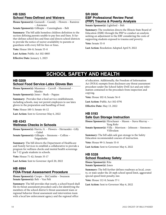### **[HB 5265](https://ilga.gov/legislation/billstatus.asp?DocNum=5265&GAID=16&GA=102&DocTypeID=HB&LegID=139775&SessionID=110) School Fees-Defined and Waivers**

**House Sponsor(s):** Guzzardi – Cassidy – Flowers – Ramirez – Ammons

**Senate Sponsor(s):** Gillespie – Cunningham – Belt

**Summary:** The bill adds homeless children definition to the section defining parents unable to pay fees and fines. It further defines school fees and fines and directs school districts to provide the notice of waiver availability to parents or guardians with every bill for fees or fines.

**Vote:** House 104-0; Senate 55-0

**Last Action:** Public Act 102-0805

**Effective Date:** January 1, 2023

### **[SR 0900](https://ilga.gov/legislation/billstatus.asp?DocNum=900&GAID=16&GA=102&DocTypeID=SR&LegID=140633&SessionID=110) EBF Professional Review Panel (PRP) Trauma & Poverty Analysis**

**Senate Sponsor(s):** Lightford – Belt

**Summary:** The resolution directs the Illinois State Board of Education (ISBE) through the PRP to conduct an analysis seeking an adjustment to the EBF considering the costs of supporting students exposed to trauma and poverty.

**Vote:** Senate 53-0

**Last Action:** Resolution Adopted April 9, 2022

# **SCHOOL SAFETY AND HEALTH**

### **[HB 0209](https://ilga.gov/legislation/billstatus.asp?DocNum=209&GAID=16&GA=102&DocTypeID=HB&LegID=128073&SessionID=110) School Food Service-Latex Gloves Ban**

**House Sponsor(s):** Mussman – Carroll – Hammond – Manley

**Senate Sponsor(s):** Jones – Bush – Pappas

Summary: Provides that a food service establishment, including schools, may not permit employees to use latex gloves in the preparation and handling of food.

**Vote:** House 100-5; Senate 44-12

**Last Action:** Sent to Governor May 6, 2022

### **[HB 4343](https://ilga.gov/legislation/billstatus.asp?DocNum=4343&GAID=16&GA=102&DocTypeID=HB&LegID=137545&SessionID=110) Wellness Checks in Schools**

**House Sponsor(s):** Harris, G. – Flowers – Hernandez –Lilly – Gabel

**Senate Sponsor(s):** Gillespie – Simmons – Collins – Feigenholtz

**Summary:** The bill directs the Department of Healthcare and Family Services to establish a collaborative to provide a program for wellness checks and mental health screenings for 7-12 grade students in schools.

**Vote:** House 71-42; Senate 33-17

**Last Action:** Sent to Governor April 20, 2022

### **[HB 4994](https://ilga.gov/legislation/billstatus.asp?DocNum=4994&GAID=16&GA=102&DocTypeID=HB&LegID=139469&SessionID=110) FOIA-Threat Assessment Procedure**

**House Sponsor(s):** Crespo – McCombie – Swanson **Senate Sponsor(s):** Belt – Van Pelt

**Summary:** The bill provides that yearly, a school board shall file its threat assessment procedure and a list identifying the members of the school district's threat assessment team or regional behavior threat assessment and intervention team with a local law enforcement agency and the regional office

of education. Additionally, the Freedom of Information Act (FOIA) exempts from disclosure any threat assessment procedure under the School Safety Drill Act and any information contained in the procedure from inspection and copying.

**Vote:** House 102-0; Senate 56-0

**Last Action:** Public Act 102-0791

**Effective Date:** May 13, 2022

### **[HB 5193](https://ilga.gov/legislation/billstatus.asp?DocNum=5193&GAID=16&GA=102&DocTypeID=HB&LegID=139694&SessionID=110) Safe Gun Storage Instruction**

**House Sponsor(s):** Hirschauer – Mason – Stava-Murray – Yang Rohr

**Senate Sponsor(s):** Villa – Morrison – Johnson – Simmons - Villivalam

**Summary:** The bill adds safe gun storage to the Safety Education recommended courses of instruction.

**Vote:** House 99-5; Senate 53-0

**Last Action:** Sent to Governor May 6, 2022

### **[HB 5328](https://ilga.gov/legislation/billstatus.asp?DocNum=5328&GAID=16&GA=102&DocTypeID=HB&LegID=139843&SessionID=110) School Roadway Safety**

**House Sponsor(s):** Rita **Senate Sponsor(s):** Jones

**Summary:** The bill further defines roadways as local, county, or state under the 20-mph school speed limit, aggravated special speed limit penalty, law.

**Vote:** House 112-0; Senate 57-1

**Last Action:** Sent to Governor May 6, 2022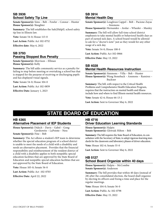### **[SB 3936](https://ilga.gov/legislation/billstatus.asp?DocNum=3936&GAID=16&GA=102&DocTypeID=SB&LegID=139032&SessionID=110) School Safety Tip Line**

**Senate Sponsor(s):** Sims – Belt – Fowler – Connor – Hunter **House Sponsor(s):** Slaughter

**Summary:** The bill establishes the Safe2HelpIL school safety tip line in Illinois law.

**Vote:** Senate 54-0; House 113-0

**Last Action:** Public Act 102-0752

**Effective date:** May 6, 2022

### **[SB 3793](https://ilga.gov/legislation/billstatus.asp?DocNum=3793&GAID=16&GA=102&DocTypeID=SB&LegID=138853&SessionID=110) Passing Stopped Bus Penalty**

**Senate Sponsor(s):** Morrison – Ellman **House Sponsor(s):** Kelly

**Summary:** The bill adds community service as a penalty for failing to stop before meeting or overtaking a school bus that is stopped for the purpose of receiving or discharging pupils and has displayed visual signals.

**Vote:** Senate 54-0; House 104-0

**Last Action:** Public Act 102-0859

**Effective Date:** January 1, 2023

### **[SB 3914](https://ilga.gov/legislation/billstatus.asp?DocNum=3914&GAID=16&GA=102&DocTypeID=SB&LegID=139007&SessionID=110) Mental Health Day**

**Senate Sponsor(s):** Loughran Cappel – Belt – Pacione-Zayas – Simmons

**House Sponsor(s):** Hernandez – Avelar – Wheeler – Manley

**Summary:** The bill will allow full-time school district employees to take mental health or behavioral health days as part of earned sick days. A school board would be allowed to ask for a "doctor's note" just as they would for any other usage of a sick day.

**Vote:** Senate 54-0; House 108-0

**Last Action:** Public Act 102-0866

**Effective Date:** May 13, 2022

## **[SB 4028](https://ilga.gov/legislation/billstatus.asp?DocNum=4028&GAID=16&GA=102&DocTypeID=SB&LegID=139133&SessionID=110)**

### **Mental Health Resources Instruction**

**Senate Sponsor(s):** Simmons – Villa – Belt – Hunter **House Sponsor(s):** Wang Stoneback – Ammons – Ramirez – Buckner

**Summary:** The bill, with respect to the Critical Health Problems and Comprehensive Health Education Program, requires that the instruction on mental health and illness include how and where to find Illinois mental health resources.

**Vote:** Senate 42-6; House 66-13-2

**Last Action:** Sent to Governor May 6, 2022

# **STATE BOARD OF EDUCATION**

### **[HB 4365](https://ilga.gov/legislation/billstatus.asp?DocNum=4365&GAID=16&GA=102&DocTypeID=HB&LegID=137631&SessionID=110) Alternative Placement of IEP Students**

**House Sponsor(s):** Didech – Davis – Gabel – Gong-Gershowitz – LaPointe – Ness

**Senate Sponsor(s):** Fine – Belt

**Summary:** The Act allows a student's IEP team to determine whether the special education program of a school district is unable to meet the needs of a child with a disability and needs an alternative placement. Provides that the financial responsibility and reimbursement of the resident district of a child with a disability applies to both nonpublic special education facilities that are approved by the State Board of Education and nonpublic special education facilities that are not approved by the State Board of Education.

**Vote:** House 105-0; Senate 56-0

**Last Action:** Public Act -102-0703

**Effective Date:** April 22, 2022

### **[HB 4716](https://ilga.gov/legislation/billstatus.asp?DocNum=4716&GAID=16&GA=102&DocTypeID=HB&LegID=139069&SessionID=110) Driver Education Learning Standards**

**House Sponsor(s):** Halpin **Senate Sponsor(s):** Glowiak Hilton – Belt

**Summary:** The bill requires the State Board of Education, in consultation with the Secretary of State, to adopt rigorous learning standards for the classroom and laboratory phases of driver education.

**Vote:** House 102-6; Senate 55-0

**Last Action:** Sent to Governor May 6, 2022

### **[HB 5127](https://ilga.gov/legislation/billstatus.asp?DocNum=5127&GAID=16&GA=102&DocTypeID=HB&LegID=139621&SessionID=110)**

### **School Board Organize within 40 days**

**House Sponsor(s):** Halpin – McCombie **Senate Sponsor(s):** Anderson

**Summary:** The bill provides that within 40 days (instead of 28) after the consolidated election, the board shall organize by electing its officers and fixing a time and place for the regular meetings.

**Vote:** House 104-0; Senate 56-0

**Last Action:** Public Ac 102-0798

**Effective Date:** May 15, 2022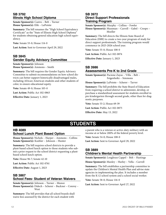### **[SB 3792](https://ilga.gov/legislation/billstatus.asp?DocNum=3792&GAID=16&GA=102&DocTypeID=SB&LegID=138841&SessionID=110) Illinois High School Diploma**

**Senate Sponsor(s):** Castro – Belt – Turner **House Sponsor(s):** Elik – LaPointe

**Summary:** The bill renames the "High School Equivalency Certificate" as the "State of Illinois High School Diploma" for students obtaining general education high school equivalency.

**Vote:** Senate 53-0; House 114-0

**Last Action:** Sent to Governor April 29, 2022

### **[SB 3845](https://ilga.gov/legislation/billstatus.asp?DocNum=3845&GAID=16&GA=102&DocTypeID=SB&LegID=138908&SessionID=110) Gender Equity Advisory Committee**

**Senate Sponsor(s):** Johnson **House Sponsor(s):** Ammons – Smith

**Summary:** The bill requires the Gender Equity Advisory Committee to submit recommendations on how school districts can better support historically disadvantaged males, including African American students and other students of color, to ensure educational equity.

**Vote:** Senate 49-0; House 105-0

**Last Action:** Public Act 102-0863

**Effective Date:** January 1, 2023

### **[SB 3972](https://ilga.gov/legislation/billstatus.asp?DocNum=3972&GAID=16&GA=102&DocTypeID=SB&LegID=139074&SessionID=110) Direct Support Professionals Training Program**

**Senate Sponsor(s):** Murphy – Collins – Fowler **House Sponsor(s):** Mussman – Carroll – Gabel – Crespo – Moeller

**Summary:** The bill directs the Illinois State Board of Education (ISBE) to create a two-year program of study for direct support professionals. The training program would commence in 2025-2026 school year.

**Vote:** Senate 55-0; House 108-0

**Last Action:** Public Act 102-0874

**Effective Date:** January 1, 2023

### **[SB 3986](https://ilga.gov/legislation/billstatus.asp?DocNum=3986&GAID=16&GA=102&DocTypeID=SB&LegID=139088&SessionID=110)**

### **Assessments Pre-K to 2nd Grade**

**Senate Sponsor(s):** Pacione-Zayas – Villa – Belt – Feigenholtz – Simmons

**House Sponsor(s):** LaPointe – Scherer – Tarver

**Summary:** The bill prohibits the State Board of Education from requiring a school district to administer, develop, or purchase a standardized assessment for students enrolled in pre-kindergarten through second grade, other than for diagnostic purposes.

**Vote:** Senate 53-2; House 69-39

**Last Action:** Public Act 102-0875

**Effective Date:** May 13, 2022

# **STUDENTS**

### **[HB 4089](https://ilga.gov/legislation/billstatus.asp?DocNum=4089&GAID=16&GA=102&DocTypeID=HB&LegID=136294&SessionID=110) School Lunch Plant Based Option**

**House Sponsor(s):** Nichols – Harper – Ammons – Collins **Senate Sponsor(s):** Koehler – Johnson – Hunter

**Summary:** The bill requires school districts to provide a plant-based school lunch option to those students who submit a prior request to the school district requesting a plantbased school lunch option.

**Vote:** House 96-7; Senate 42-10

**Last Action:** Public Act 102-0761

**Effective Date:** August 1, 2023

### **[SB 3867](https://ilga.gov/legislation/billstatus.asp?DocNum=3867&GAID=16&GA=102&DocTypeID=SB&LegID=138948&SessionID=110) School Fees- Student of Veteran Waivers**

**Senate Sponsor(s):** Johnson – Turner – Munoz **House Sponsor(s):** Didech – Scherer – Buckner – Conroy – West

**Summary:** The bill provides that all school boards shall waive fees assessed by the district for each student with

a parent who is a veteran or active-duty military with an income at or below 200% of the federal poverty level.

**Vote:** Senate 54-0; House 108-0

**Last Action:** Sent to Governor April 29, 2022

### **[SB 3889](https://ilga.gov/legislation/billstatus.asp?DocNum=3889&GAID=16&GA=102&DocTypeID=SB&LegID=138974&SessionID=110) Children's Mental Health Partnership**

**Senate Sponsor(s):** Loughran Cappel – Belt – Hastings

**House Sponsor(s):** Manley – Hurley – Vella – Carroll

**Summary:** The bill establishes a partnership committee to update the Children's Mental Health Plan and advise state agencies in implementing the plan. It includes a member from the K-12 school system and a school social worker.

**Vote:** Senate 58-0; House 116-0

**Last Action:** Sent to Governor April 27, 2022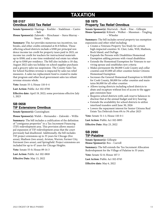# **TAXATION**

### **[SB 0157](http://v) Omnibus 2022 Tax Relief**

**Senate Sponsor(s):** Hastings – Koehler – Stadelman – Castro – Belt

**House Sponsor(s):** Zalewski – Hirschauer – Stava-Murray – Stuart – Vella

**Summary:** The Act provides numerous tax incentives, tax breaks, and other credits estimated at \$1.8 billion. Those affecting school districts include a \$300 per principal residence income tax credit for property taxes paid in 2021; an income tax credit for teachers for instructional materials up to \$500; and a one-time residential real estate tax rebate of up to \$300 per residence. The bill also includes a 10-day, August 2022 sales tax holiday on school supplies purchases and a grocery sales tax suspension. The County Sales Tax for School Facilities revenue is impacted by sales tax relief measures. A sales tax replacement fund is created to make that program and other local government sales tax reliant revenue streams whole.

**Vote:** Senate 55-1; House 110-0-4

**Last Action:** Public Act 102-0700

**Effective date:** April 19, 2022; some provisions effective July 1, 2023

### **[SB 0658](https://ilga.gov/legislation/billstatus.asp?DocNum=658&GAID=16&GA=102&DocTypeID=SB&LegID=133260&SessionID=110) TIF Extensions Omnibus**

**Senate Sponsor(s):** Cunningham

**House Sponsor(s):** Walsh – Hernandez – Zalewski – Willis

**Summary:** The bill includes a codification of the definition of "contiguous properties" in a Tax Increment Financing (TIF) redevelopment area. This provision allows municipal expansion of TIF redevelopment areas that the court previously had disallowed. Additionally, the bill includes TIF project extensions up to 35 years for Chicago (five areas), Madison (two areas), Aviston, Warren, Farmer City, Fairmont (two areas), and Springfield. Project extensions are included for up to 47 years for Chicago Heights.

**Vote:** Senate 55-0; House 89-14-3

**Last Action:** Public Act 102-0818

**Effective Date:** May 13, 2022

### **[SB 1975](https://ilga.gov/legislation/billstatus.asp?DocNum=1975&GAID=16&GA=102&DocTypeID=SB&LegID=134631&SessionID=110) Property Tax Relief Omnibus**

**Senate Sponsor(s):** Martwick – Bush – Fine – Gillespie **House Sponsor(s):** Kifowit – Walker – Mussman – Yingling – Wheeler

**Summary:** The bill includes several property tax exemption expansions and other relief including:

- Creates a Veterans Property Tax Study for certain high-impacted counties: St. Clair, Lake, Will, Madison, Rock Island, and DuPage.
- Expands the Persons with Disabilities Homestead Exemption adding persons with visual disabilities
- Extends the Homestead Exemption for Veterans to surviving spouse and establishes new criteria
- Makes permanent the \$8,000 Cook County and collar counties and \$5,000 all other counties Senior Citizens Homestead Exemption
- Increases the General Homestead Exemption to \$10,000 for Cook County, \$8,000 for collar counties and maintains \$6,000 for all other counties
- Allows taxing districts including school districts to abate and recapture without loss of access to the aggregate extension base
- Requires school districts with cash reserve balances to disclose that at the annual budget and levy hearing
- Extends the availability for school districts to utilize interfund transfers until June 30, 2026
- Lowers the repayment interest for Senior Citizens Real Estate Tax Deferrals from 6% to 3% after 2023

**Vote:** Senate 51-1-1; House 110-0-1

**Last Action:** Public Act 102-0895

**Effective Date:** May 23, 2022

### **[SB 2990](https://ilga.gov/legislation/billstatus.asp?DocNum=2990&GAID=16&GA=102&DocTypeID=SB&LegID=137436&SessionID=110) TIF-Palatine**

**Senate Sponsor(s):** Gillespie **House Sponsor(s):** Bos – Carroll

**Summary:** The bill extends the Tax Increment Allocation Redevelopment for the Village of Palatine to 35 years.

**Vote:** Senate 52-0; House 107-3

**Last Action:** Public Act 102-0745

**Effective date:** May 6, 2022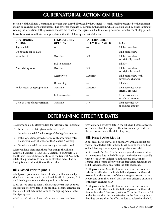# **GUBERNATORIAL ACTION ON BILLS**

Section 9 of the Illinois Constitution provides that every bill passed by the General Assembly shall be presented to the governor within 30 calendar days of its passage. The governor then has 60 days from that date in which to act on a bill by either signing or vetoing the legislation. If the governor chooses not to act on the legislation it automatically becomes law after the 60-day period.

| <b>GOVERNOR'S</b><br><b>ACTION</b> | <b>LEGISLATURE'S</b><br><b>OPTIONS</b> | <b>VOTE REQUIRED</b><br><b>IN EACH CHAMBER</b> | <b>RESULT</b>                               |
|------------------------------------|----------------------------------------|------------------------------------------------|---------------------------------------------|
| Sign the bill                      |                                        |                                                | Bill becomes law                            |
| Do nothing for 60 days             |                                        |                                                | Bill becomes law                            |
| Veto the bill                      | Override                               | 3/5                                            | Bill becomes law<br>as originally passed    |
|                                    | Fail to override                       |                                                | <b>Bill dies</b>                            |
| Amendatory veto                    | Override                               | 3/5                                            | Bill becomes law<br>as originally passed    |
|                                    | Accept veto                            | Majority                                       | Bill becomes law with<br>governor's changes |
|                                    | Do nothing                             |                                                | <b>Bill dies</b>                            |
| Reduce item of appropriation       | Override                               | Majority                                       | Item becomes law at<br>original amount      |
|                                    | Fail to override                       |                                                | Item becomes law<br>at reduced amount       |
| Veto an item of appropriation      | Override                               | 3/5                                            | Item becomes law<br>at original amount      |

Below is a chart to indicate the appropriate action that follows gubernatorial action:

# **DETERMINING EFFECTIVE DATES**

To determine a bill's effective date, four elements are important:

- 1. Is the effective date given in the bill itself?
- 2. On what date did final passage of the legislation occur?
- 3. If the legislation passed after May 31, how many votes did it get in each chamber of the General Assembly?
- 4. On what date did the governor sign the legislation?

After you have identified these four things, the Illinois Compiled Statutes (5 ILCS 75/1), Section 10 of Article IV of the Illinois Constitution and Rules of the General Assembly establish a procedure to determine effective dates. The following is a brief description of these rules:

### **Bills Passed Prior to June 1**

A bill passed prior to June 1 of a calendar year that does not provide for an effective date in the bill shall be effective January 1 of the following year or upon signing, whichever is later.

A bill passed prior to June 1 of a calendar year that does provide for an effective date in the bill shall become effective on that date if that date is the same as the signing date or after the signing date.

A bill passed prior to June 1 of a calendar year that does

provide for an effective date in the bill shall become effective on the date that it is signed if the effective date provided in the bill occurs before the date of signing.

### **Bills Passed After May 31**

A bill passed after May 31 of a calendar year that does not provide for an effective date in the bill shall become effective June 1 of the following year or upon signing, whichever is later.

A bill passed after May 31 of a calendar year that does provide for an effective date in the bill and passes the General Assembly with a 3/5 majority (at least 71 in the House and 36 in the Senate) shall become effective on the date that is defined in the bill if that date occurs on or after the date of signing.

A bill passed after May 31 of a calendar year that does provide for an effective date in the bill and passes the General Assembly with a majority of those voting (at least 60 in the House and 29 in the Senate) shall become effective on June 1 of the next calendar year.

A bill passed after May 31 of a calendar year that does provide for an effective date in the bill and passes the General Assembly with a 3/5 majority (at least 71 in the House and 36 in the Senate) shall become effective on the date of signing if that date occurs after the effective date stipulated in the bill.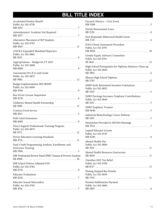# **BILL TITLE INDEX**

| <b>Accelerated Pension Benefit</b><br>Public Act 102-0718                       |
|---------------------------------------------------------------------------------|
| Administrators' Academy Not Required                                            |
| Alternative Placement of IEP Students<br>Public Act 102-0703                    |
| <b>ANCRA Expanded Mandated Reporters</b><br>Public Act 102-0861                 |
| Appropriations - Budget for FY 2023<br>Public Act 102-0698                      |
| Assessments Pre-K to 2nd Grade<br>Public Act 102-0875                           |
| Budget Implementation Bill (BIMP)<br>Public Act 102-0699                        |
| <b>Bus Driver License Suspension</b>                                            |
| Children's Mental Health Partnership                                            |
| <b>Contract Food Service</b>                                                    |
| Debt Limit Extensions                                                           |
| Direct Support Professionals Training Program<br>Public Act 102-0874            |
| Driver Education Learning Standards                                             |
| Dual Credit Programming Analysis, Enrollment, and<br><b>Instructor Training</b> |
| EBF Professional Review Panel (PRP) Trauma & Poverty Analysis                   |
| EBF School District Adjusted EAV<br>Public Act 102-0782                         |
| <b>Educator Evaluations</b>                                                     |
| <b>Educator Sexual Misconduct</b><br>Public Act 102-0702                        |

| Excused Absence - Civic Event<br>HB 5488                                                                                   |
|----------------------------------------------------------------------------------------------------------------------------|
| Family Bereavement Leave<br>$SB3120$                                                                                       |
| First Responder Behavioral Health Grant<br>HB 1321<br>. 6                                                                  |
| <b>FOIA-Threat Assessment Procedure</b><br>Public Act 102-0791<br>HB 4994<br>.                                             |
| Gender Equity Advisory Committee<br>Public Act 102-0761                                                                    |
| High School Prerequisites for Diploma-Statutory Clean-up<br>Public Act 102-0864<br>$SB\,3902\ldots\ldots$                  |
| Illinois High School Diploma                                                                                               |
| <b>IMRF Early Retirement Incentive Limitations</b><br>Public Act 102-0852<br>$SB$ 3652 $\ldots$ $\ldots$ $\ldots$ $\ldots$ |
| <b>IMRF Earnings Increases, Employer Contributions</b><br>Public Act 102-0849                                              |
| <b>IMRF</b> Employee Trustees                                                                                              |
| Industrial Biotechnology Career Pathway<br>$SB$ 1693<br>. 5                                                                |
| Interpreters Provided in IEP/504 Meetings                                                                                  |
| Lapsed Educator License<br>Public Act 102-0710                                                                             |
| Mental Health Day<br>Public Act 102-0866                                                                                   |
| Mental Health Resources Instruction                                                                                        |
| Omnibus 2022 Tax Relief<br>Public Act 102-0700                                                                             |
| Passing Stopped Bus Penalty<br>Public Act 102-0859                                                                         |
| Pension Stabilization Payment<br>Public Act 102-0696                                                                       |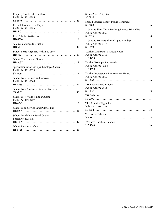| Property Tax Relief Omnibus<br>Public Act 102-0895               |
|------------------------------------------------------------------|
| Retired Teacher Extra Days<br>Public Act 102-0709                |
| ROE Administrative Fee                                           |
| Safe Gun Storage Instruction                                     |
| School Board Organize within 40 days                             |
| <b>School Construction Grants</b>                                |
| Special Education Co-ops: Employee Status<br>Public Act 102-0854 |
| School Fees-Defined and Waivers<br>Public Act 102-0805           |
| School Fees- Student of Veteran Waivers                          |
| School Fees-Withholding Diploma<br>Public Act 102-0727           |
| School Food Service-Latex Gloves Ban                             |
| School Lunch Plant Based Option<br>Public Act 102-0761           |
| School Roadway Safety                                            |
|                                                                  |

| School Safety Tip Line                                                  |
|-------------------------------------------------------------------------|
| Shared Services Report-Public Comment                                   |
| Substitute Short-Term Teaching License-Waive Fee<br>Public Act 102-0867 |
| Substitute Teachers allowed up to 120 days<br>Public Act 102-0717       |
| Teacher Licensure-90 Credit Hours<br>Public Act 102-0711                |
| Teacher/Principal Dismissals<br>Public Act 102 -0708                    |
| Teacher Professional Development Hours<br>Public Act 102-0852           |
| <b>TIF Extensions Omnibus</b><br>Public Act 102-0818                    |
| TIF-Palatine                                                            |
| TRS Annuity Eligibility<br>Public Act 102-0871                          |
| <b>Trustees of Schools</b>                                              |
| Wellness Checks in Schools                                              |
|                                                                         |